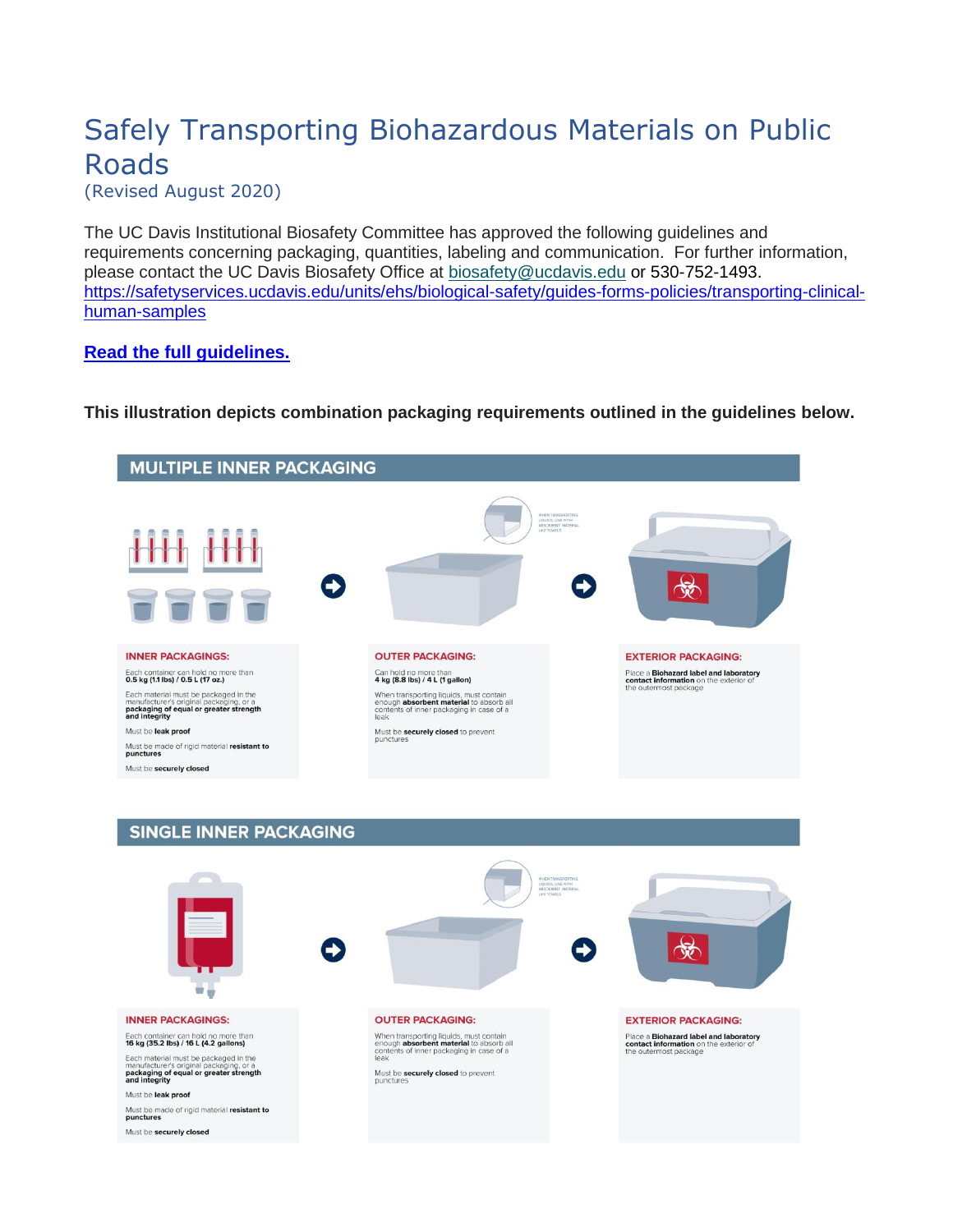## Safely Transporting Biohazardous Materials on Public Roads

(Revised August 2020)

The UC Davis Institutional Biosafety Committee has approved the following guidelines and requirements concerning packaging, quantities, labeling and communication. For further information, please contact the UC Davis Biosafety Office at [biosafety@ucdavis.edu](mailto:biosafety@ucdavis.edu) or 530-752-1493. [https://safetyservices.ucdavis.edu/units/ehs/biological-safety/guides-forms-policies/transporting-clinical](https://safetyservices.ucdavis.edu/units/ehs/biological-safety/guides-forms-policies/transporting-clinical-human-samples)[human-samples](https://safetyservices.ucdavis.edu/units/ehs/biological-safety/guides-forms-policies/transporting-clinical-human-samples)

**[Read the full guidelines.](#page-1-0)**

**This illustration depicts combination packaging requirements outlined in the guidelines below.**



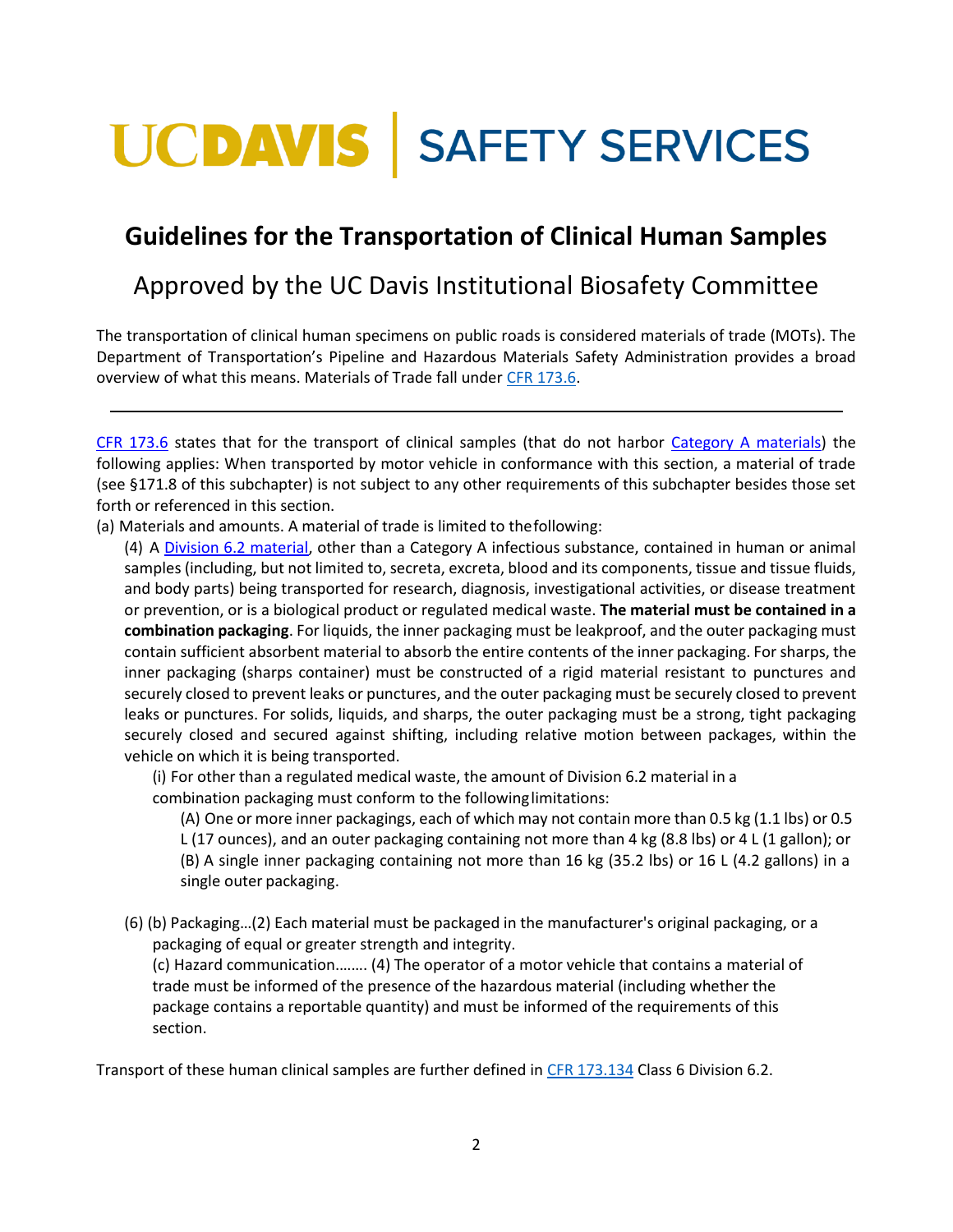## <span id="page-1-0"></span>**UCDAVIS | SAFETY SERVICES**

## **Guidelines for the Transportation of Clinical Human Samples**

## Approved by the UC Davis Institutional Biosafety Committee

The transportation of clinical human specimens on public roads is considered materials of trade (MOTs). The Department of Transportation's Pipeline and Hazardous Materials Safety Administration provides a broad overview of what this means. Materials of Trade fall unde[r CFR 173.6.](https://www.ecfr.gov/cgi-bin/text-idx?SID=60381cdcc60844c514ab8b6506df5235&mc=true&node=se49.2.173_16&rgn=div8)

[CFR 173.6](https://www.ecfr.gov/cgi-bin/text-idx?SID=60381cdcc60844c514ab8b6506df5235&mc=true&node=se49.2.173_16&rgn=div8) states that for the transport of clinical samples (that do not harbor [Category A materials\)](https://www.iata.org/contentassets/b08040a138dc4442a4f066e6fb99fe2a/dgr-61-en-3.6.2.pdf) the following applies: When transported by motor vehicle in conformance with this section, a material of trade (see §171.8 of this subchapter) is not subject to any other requirements of this subchapter besides those set forth or referenced in this section.

(a) Materials and amounts. A material of trade is limited to thefollowing:

(4) A [Division 6.2 material,](https://www.ecfr.gov/cgi-bin/text-idx?SID=60381cdcc60844c514ab8b6506df5235&mc=true&node=se49.2.173_1134&rgn=div8) other than a Category A infectious substance, contained in human or animal samples (including, but not limited to, secreta, excreta, blood and its components, tissue and tissue fluids, and body parts) being transported for research, diagnosis, investigational activities, or disease treatment or prevention, or is a biological product or regulated medical waste. **The material must be contained in a combination packaging**. For liquids, the inner packaging must be leakproof, and the outer packaging must contain sufficient absorbent material to absorb the entire contents of the inner packaging. For sharps, the inner packaging (sharps container) must be constructed of a rigid material resistant to punctures and securely closed to prevent leaks or punctures, and the outer packaging must be securely closed to prevent leaks or punctures. For solids, liquids, and sharps, the outer packaging must be a strong, tight packaging securely closed and secured against shifting, including relative motion between packages, within the vehicle on which it is being transported.

(i) For other than a regulated medical waste, the amount of Division 6.2 material in a combination packaging must conform to the followinglimitations:

(A) One or more inner packagings, each of which may not contain more than 0.5 kg (1.1 lbs) or 0.5 L (17 ounces), and an outer packaging containing not more than 4 kg (8.8 lbs) or 4 L (1 gallon); or (B) A single inner packaging containing not more than 16 kg (35.2 lbs) or 16 L (4.2 gallons) in a single outer packaging.

(6) (b) Packaging…(2) Each material must be packaged in the manufacturer's original packaging, or a packaging of equal or greater strength and integrity.

(c) Hazard communication.……. (4) The operator of a motor vehicle that contains a material of trade must be informed of the presence of the hazardous material (including whether the package contains a reportable quantity) and must be informed of the requirements of this section.

Transport of these human clinical samples are further defined i[n CFR 173.134](https://www.ecfr.gov/cgi-bin/text-idx?SID=60381cdcc60844c514ab8b6506df5235&mc=true&node=se49.2.173_1134&rgn=div8) Class 6 Division 6.2.